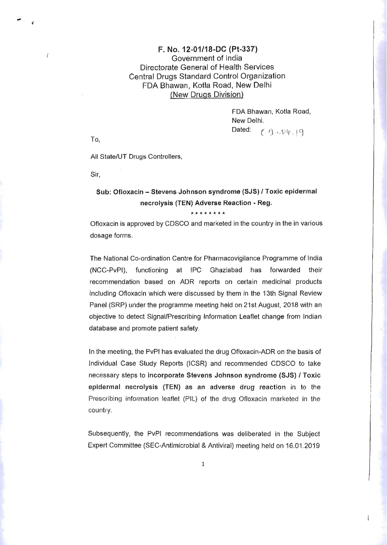## F. No. 12*n01/18-DC* (Pt-337) Government of India Directorate General of Health Services Central Drugs Standard Control Organization FDA Bhawan, Kotla Road, New Delhi (New Drugs Division)

FDA Bhawan, Kotla Road, New Delhi. Dated:  $( \zeta, \zeta)$  i.  $\psi(\phi, \cdot) \in$ 

To,

.,.

 $\overline{I}$ 

All State/UT Drugs Controllers,

Sir,

## Sub: Ofloxacin - Stevens Johnson syndrome (SJS) / Toxic epidermal necrolysis (TEN) Adverse Reaction - Reg.

*1c1t\*\*\*\*\*\** 

Ofloxacin is approved by CDSCO and marketed in the country in the in various dosage forms.

The National Co-ordination Centre for Pharmacovigilance Programme of India (NCC-PvPI), functioning at IPC Ghaziabad has forwarded their recommendation based on ADR reports on certain medicinal products including Ofloxacin which were discussed by them in the 13th Signal Review Panel (SRP) under the programme meeting held on 21st August, 2018 with an objective to detect Signal/Prescribing Information Leaflet change from Indian database and promote patient safety.

In the meeting, the PvPI has evaluated the drug Ofloxacin-ADR on the basis of Individual Case Study Reports (ICSR) and recommended CDSCO to take necessary steps to incorporate Stevens Johnson syndrome (SJS) I Toxic epidermal necrolysis (TEN) as an adverse drug reaction in to the Prescribing information leaflet (PIL) of the drug Ofloxacin marketed in the country.

Subsequently, the PvPI recommendations was deliberated in the Subject Expert Committee (SEC-Antimicrobial & Antiviral) meeting held on 16.01.2019